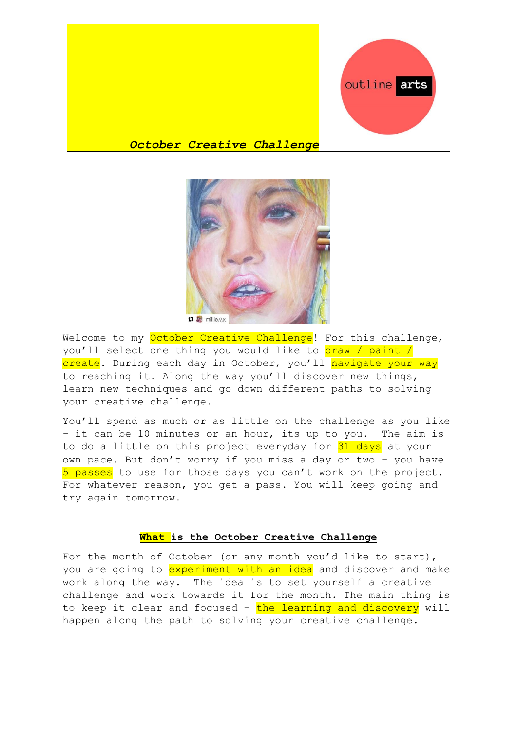

# *October Creative Challenge*



Welcome to my October Creative Challenge! For this challenge, you'll select one thing you would like to draw / paint / create. During each day in October, you'll navigate your way to reaching it. Along the way you'll discover new things, learn new techniques and go down different paths to solving your creative challenge.

You'll spend as much or as little on the challenge as you like - it can be 10 minutes or an hour, its up to you. The aim is to do a little on this project everyday for 31 days at your own pace. But don't worry if you miss a day or two – you have 5 passes to use for those days you can't work on the project. For whatever reason, you get a pass. You will keep going and try again tomorrow.

# **What is the October Creative Challenge**

For the month of October (or any month you'd like to start), you are going to experiment with an idea and discover and make work along the way. The idea is to set yourself a creative challenge and work towards it for the month. The main thing is to keep it clear and focused - the learning and discovery will happen along the path to solving your creative challenge.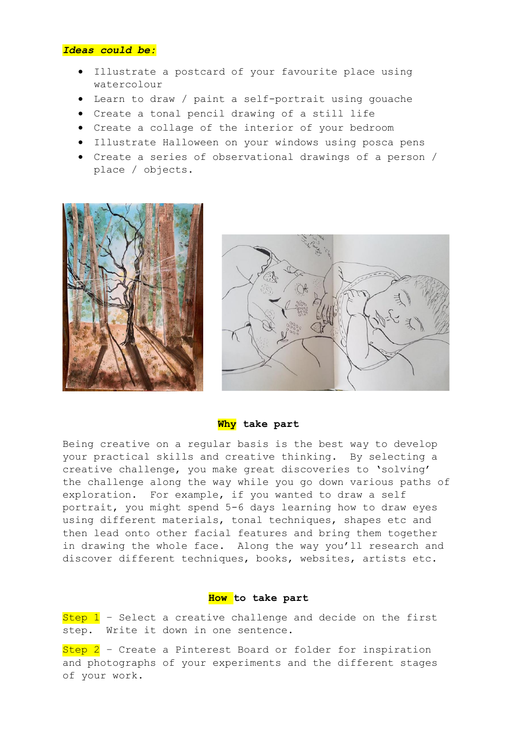### *Ideas could be:*

- Illustrate a postcard of your favourite place using watercolour
- Learn to draw / paint a self-portrait using gouache
- Create a tonal pencil drawing of a still life
- Create a collage of the interior of your bedroom
- Illustrate Halloween on your windows using posca pens
- Create a series of observational drawings of a person / place / objects.





#### **Why take part**

Being creative on a regular basis is the best way to develop your practical skills and creative thinking. By selecting a creative challenge, you make great discoveries to 'solving' the challenge along the way while you go down various paths of exploration. For example, if you wanted to draw a self portrait, you might spend 5-6 days learning how to draw eyes using different materials, tonal techniques, shapes etc and then lead onto other facial features and bring them together in drawing the whole face. Along the way you'll research and discover different techniques, books, websites, artists etc.

### **How to take part**

Step  $1$  – Select a creative challenge and decide on the first step. Write it down in one sentence.

 $Step 2$  – Create a Pinterest Board or folder for inspiration and photographs of your experiments and the different stages of your work.